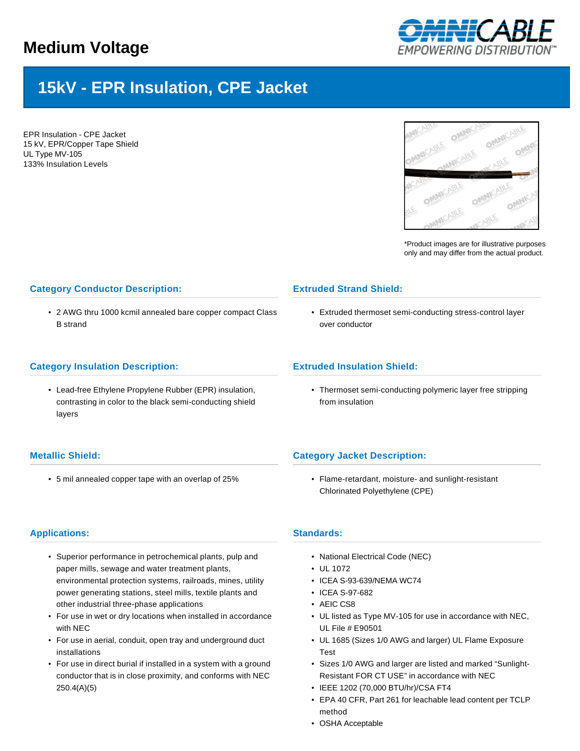## **Medium Voltage**



# **15kV - EPR Insulation, CPE Jacket**

EPR Insulation - CPE Jacket 15 kV, EPR/Copper Tape Shield UL Type MV-105 133% Insulation Levels



\*Product images are for illustrative purposes only and may differ from the actual product.

## **Category Conductor Description:**

• 2 AWG thru 1000 kcmil annealed bare copper compact Class B strand

### **Category Insulation Description:**

• Lead-free Ethylene Propylene Rubber (EPR) insulation, contrasting in color to the black semi-conducting shield layers

## **Metallic Shield:**

• 5 mil annealed copper tape with an overlap of 25%

## **Extruded Strand Shield:**

• Extruded thermoset semi-conducting stress-control layer over conductor

## **Extruded Insulation Shield:**

• Thermoset semi-conducting polymeric layer free stripping from insulation

## **Category Jacket Description:**

• Flame-retardant, moisture- and sunlight-resistant Chlorinated Polyethylene (CPE)

## **Applications:**

- Superior performance in petrochemical plants, pulp and paper mills, sewage and water treatment plants, environmental protection systems, railroads, mines, utility power generating stations, steel mills, textile plants and other industrial three-phase applications
- For use in wet or dry locations when installed in accordance with NEC
- For use in aerial, conduit, open tray and underground duct installations
- For use in direct burial if installed in a system with a ground conductor that is in close proximity, and conforms with NEC 250.4(A)(5)

#### **Standards:**

- National Electrical Code (NEC)
- UL 1072
- ICEA S-93-639/NEMA WC74
- ICEA S-97-682
- AEIC CS8
- UL listed as Type MV-105 for use in accordance with NEC, UL File # E90501
- UL 1685 (Sizes 1/0 AWG and larger) UL Flame Exposure Test
- Sizes 1/0 AWG and larger are listed and marked "Sunlight-Resistant FOR CT USE" in accordance with NEC
- IEEE 1202 (70,000 BTU/hr)/CSA FT4
- EPA 40 CFR, Part 261 for leachable lead content per TCLP method
- OSHA Acceptable